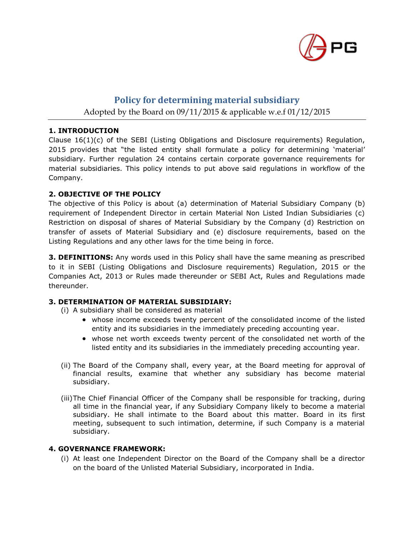

# **Policy for determining material subsidiary**

Adopted by the Board on 09/11/2015 & applicable w.e.f 01/12/2015

## **1. INTRODUCTION**

Clause 16(1)(c) of the SEBI (Listing Obligations and Disclosure requirements) Regulation, 2015 provides that "the listed entity shall formulate a policy for determining 'material' subsidiary. Further regulation 24 contains certain corporate governance requirements for material subsidiaries. This policy intends to put above said regulations in workflow of the Company.

## **2. OBJECTIVE OF THE POLICY**

The objective of this Policy is about (a) determination of Material Subsidiary Company (b) requirement of Independent Director in certain Material Non Listed Indian Subsidiaries (c) Restriction on disposal of shares of Material Subsidiary by the Company (d) Restriction on transfer of assets of Material Subsidiary and (e) disclosure requirements, based on the Listing Regulations and any other laws for the time being in force.

**3. DEFINITIONS:** Any words used in this Policy shall have the same meaning as prescribed to it in SEBI (Listing Obligations and Disclosure requirements) Regulation, 2015 or the Companies Act, 2013 or Rules made thereunder or SEBI Act, Rules and Regulations made thereunder.

# **3. DETERMINATION OF MATERIAL SUBSIDIARY:**

(i) A subsidiary shall be considered as material

- whose income exceeds twenty percent of the consolidated income of the listed entity and its subsidiaries in the immediately preceding accounting year.
- whose net worth exceeds twenty percent of the consolidated net worth of the listed entity and its subsidiaries in the immediately preceding accounting year.
- (ii) The Board of the Company shall, every year, at the Board meeting for approval of financial results, examine that whether any subsidiary has become material subsidiary.
- (iii)The Chief Financial Officer of the Company shall be responsible for tracking, during all time in the financial year, if any Subsidiary Company likely to become a material subsidiary. He shall intimate to the Board about this matter. Board in its first meeting, subsequent to such intimation, determine, if such Company is a material subsidiary.

#### **4. GOVERNANCE FRAMEWORK:**

(i) At least one Independent Director on the Board of the Company shall be a director on the board of the Unlisted Material Subsidiary, incorporated in India.